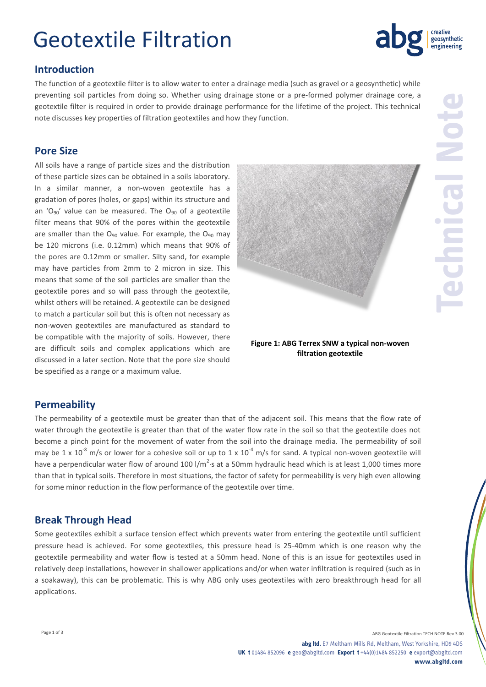## Geotextile Filtration

## **Introduction**

The function of a geotextile filter is to allow water to enter a drainage media (such as gravel or a geosynthetic) while preventing soil particles from doing so. Whether using drainage stone or a pre-formed polymer drainage core, a geotextile filter is required in order to provide drainage performance for the lifetime of the project. This technical note discusses key properties of filtration geotextiles and how they function.

### **Pore Size**

All soils have a range of particle sizes and the distribution of these particle sizes can be obtained in a soils laboratory. In a similar manner, a non-woven geotextile has a gradation of pores (holes, or gaps) within its structure and an ' $O_{90}$ ' value can be measured. The  $O_{90}$  of a geotextile filter means that 90% of the pores within the geotextile are smaller than the  $O_{90}$  value. For example, the  $O_{90}$  may be 120 microns (i.e. 0.12mm) which means that 90% of the pores are 0.12mm or smaller. Silty sand, for example may have particles from 2mm to 2 micron in size. This means that some of the soil particles are smaller than the geotextile pores and so will pass through the geotextile, whilst others will be retained. A geotextile can be designed to match a particular soil but this is often not necessary as non-woven geotextiles are manufactured as standard to be compatible with the majority of soils. However, there are difficult soils and complex applications which are discussed in a later section. Note that the pore size should be specified as a range or a maximum value.

#### **Figure 1: ABG Terrex SNW a typical non-woven filtration geotextile**

### **Permeability**

The permeability of a geotextile must be greater than that of the adjacent soil. This means that the flow rate of water through the geotextile is greater than that of the water flow rate in the soil so that the geotextile does not become a pinch point for the movement of water from the soil into the drainage media. The permeability of soil may be 1 x  $10^{-8}$  m/s or lower for a cohesive soil or up to 1 x  $10^{-4}$  m/s for sand. A typical non-woven geotextile will have a perpendicular water flow of around 100 l/m<sup>2</sup> $\cdot$ s at a 50mm hydraulic head which is at least 1,000 times more than that in typical soils. Therefore in most situations, the factor of safety for permeability is very high even allowing for some minor reduction in the flow performance of the geotextile over time.

### **Break Through Head**

Some geotextiles exhibit a surface tension effect which prevents water from entering the geotextile until sufficient pressure head is achieved. For some geotextiles, this pressure head is 25-40mm which is one reason why the geotextile permeability and water flow is tested at a 50mm head. None of this is an issue for geotextiles used in relatively deep installations, however in shallower applications and/or when water infiltration is required (such as in a soakaway), this can be problematic. This is why ABG only uses geotextiles with zero breakthrough head for all applications.



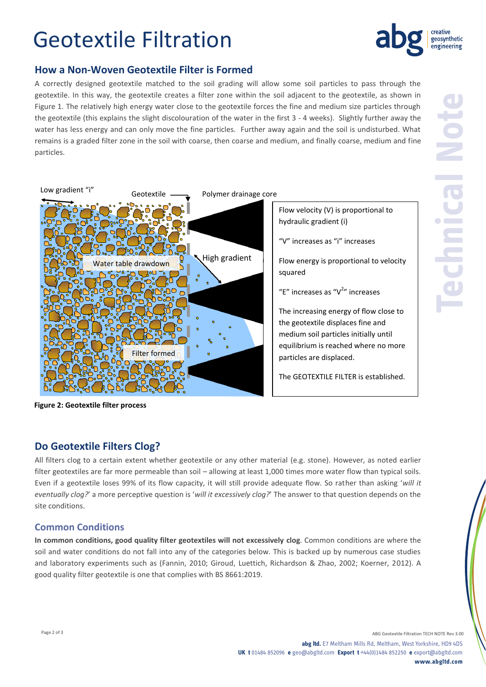## Geotextile Filtration



## **How a Non-Woven Geotextile Filter is Formed**

A correctly designed geotextile matched to the soil grading will allow some soil particles to pass through the geotextile. In this way, the geotextile creates a filter zone within the soil adjacent to the geotextile, as shown in Figure 1. The relatively high energy water close to the geotextile forces the fine and medium size particles through the geotextile (this explains the slight discolouration of the water in the first 3 - 4 weeks). Slightly further away the water has less energy and can only move the fine particles. Further away again and the soil is undisturbed. What remains is a graded filter zone in the soil with coarse, then coarse and medium, and finally coarse, medium and fine particles.



**Heading 2 Figure 2: Geotextile filter process**

## **Do Geotextile Filters Clog?**

All filters clog to a certain extent whether geotextile or any other material (e.g. stone). However, as noted earlier filter geotextiles are far more permeable than soil – allowing at least 1,000 times more water flow than typical soils. Even if a geotextile loses 99% of its flow capacity, it will still provide adequate flow. So rather than asking '*will it eventually clog?*' a more perceptive question is '*will it excessively clog?*' The answer to that question depends on the site conditions.

### **Common Conditions**

**In common conditions, good quality filter geotextiles will not excessively clog**. Common conditions are where the soil and water conditions do not fall into any of the categories below. This is backed up by numerous case studies and laboratory experiments such as (Fannin, 2010; Giroud, Luettich, Richardson & Zhao, 2002; Koerner, 2012). A good quality filter geotextile is one that complies with BS 8661:2019.